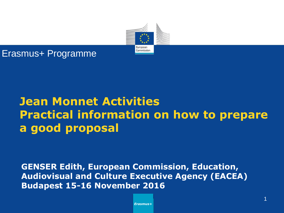

#### Erasmus+ Programme

## **Jean Monnet Activities Practical information on how to prepare a good proposal**

**GENSER Edith, European Commission, Education, Audiovisual and Culture Executive Agency (EACEA) Budapest 15-16 November 2016**

*Erasmus+*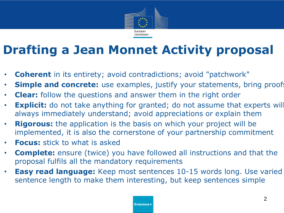

# **Drafting a Jean Monnet Activity proposal**

- **Coherent** in its entirety; avoid contradictions; avoid "patchwork"
- **Simple and concrete:** use examples, justify your statements, bring proofs
- **Clear:** follow the questions and answer them in the right order
- **Explicit:** do not take anything for granted; do not assume that experts will always immediately understand; avoid appreciations or explain them
- **Rigorous:** the application is the basis on which your project will be implemented, it is also the cornerstone of your partnership commitment
- **Focus:** stick to what is asked
- **Complete:** ensure (twice) you have followed all instructions and that the proposal fulfils all the mandatory requirements
- **Easy read language:** Keep most sentences 10-15 words long. Use varied sentence length to make them interesting, but keep sentences simple

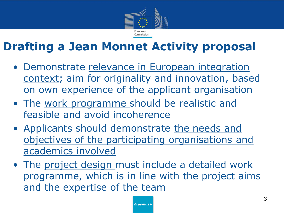

### **Drafting a Jean Monnet Activity proposal**

- Demonstrate relevance in European integration context; aim for originality and innovation, based on own experience of the applicant organisation
- The work programme should be realistic and feasible and avoid incoherence
- Applicants should demonstrate the needs and objectives of the participating organisations and academics involved
- The project design must include a detailed work programme, which is in line with the project aims and the expertise of the team

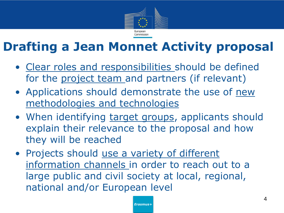

# **Drafting a Jean Monnet Activity proposal**

- Clear roles and responsibilities should be defined for the project team and partners (if relevant)
- Applications should demonstrate the use of new methodologies and technologies
- When identifying target groups, applicants should explain their relevance to the proposal and how they will be reached
- Projects should use a variety of different information channels in order to reach out to a large public and civil society at local, regional, national and/or European level